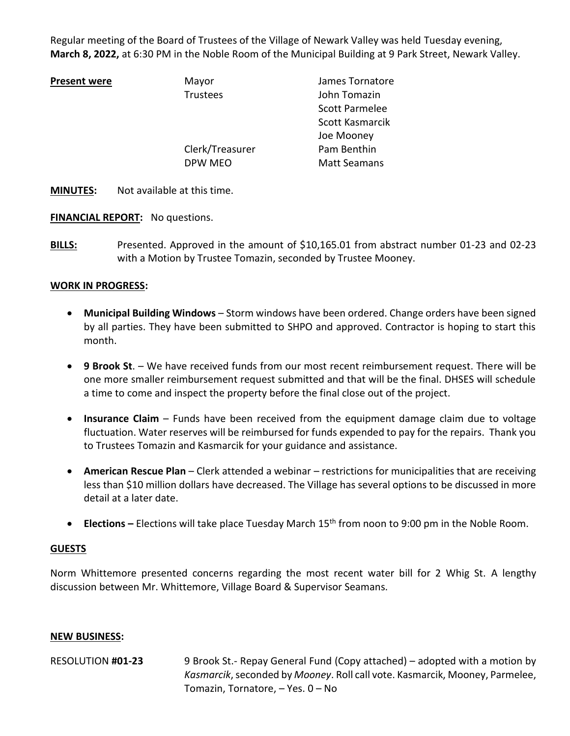Regular meeting of the Board of Trustees of the Village of Newark Valley was held Tuesday evening, **March 8, 2022,** at 6:30 PM in the Noble Room of the Municipal Building at 9 Park Street, Newark Valley.

**Present Wayor** James Tornatore Trustees John Tomazin Scott Parmelee Scott Kasmarcik Joe Mooney Clerk/Treasurer Pam Benthin DPW MEO Matt Seamans

**MINUTES:** Not available at this time.

**FINANCIAL REPORT:** No questions.

**BILLS:** Presented. Approved in the amount of \$10,165.01 from abstract number 01-23 and 02-23 with a Motion by Trustee Tomazin, seconded by Trustee Mooney.

# **WORK IN PROGRESS:**

- **Municipal Building Windows** Storm windows have been ordered. Change orders have been signed by all parties. They have been submitted to SHPO and approved. Contractor is hoping to start this month.
- **9 Brook St**. We have received funds from our most recent reimbursement request. There will be one more smaller reimbursement request submitted and that will be the final. DHSES will schedule a time to come and inspect the property before the final close out of the project.
- **Insurance Claim** Funds have been received from the equipment damage claim due to voltage fluctuation. Water reserves will be reimbursed for funds expended to pay for the repairs. Thank you to Trustees Tomazin and Kasmarcik for your guidance and assistance.
- **American Rescue Plan**  Clerk attended a webinar restrictions for municipalities that are receiving less than \$10 million dollars have decreased. The Village has several options to be discussed in more detail at a later date.
- **Elections –** Elections will take place Tuesday March 15th from noon to 9:00 pm in the Noble Room.

### **GUESTS**

Norm Whittemore presented concerns regarding the most recent water bill for 2 Whig St. A lengthy discussion between Mr. Whittemore, Village Board & Supervisor Seamans.

### **NEW BUSINESS:**

RESOLUTION **#01-23** 9 Brook St.- Repay General Fund (Copy attached) – adopted with a motion by *Kasmarcik*, seconded by *Mooney*. Roll call vote. Kasmarcik, Mooney, Parmelee, Tomazin, Tornatore, – Yes. 0 – No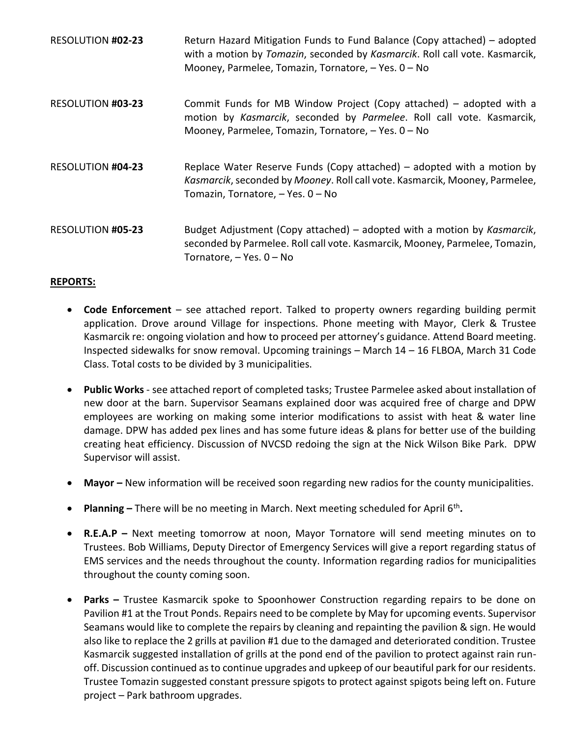| <b>RESOLUTION #02-23</b> | Return Hazard Mitigation Funds to Fund Balance (Copy attached) – adopted<br>with a motion by Tomazin, seconded by Kasmarcik. Roll call vote. Kasmarcik,<br>Mooney, Parmelee, Tomazin, Tornatore, - Yes. 0 - No |
|--------------------------|----------------------------------------------------------------------------------------------------------------------------------------------------------------------------------------------------------------|
| <b>RESOLUTION #03-23</b> | Commit Funds for MB Window Project (Copy attached) – adopted with a<br>motion by Kasmarcik, seconded by Parmelee. Roll call vote. Kasmarcik,<br>Mooney, Parmelee, Tomazin, Tornatore, - Yes. 0 - No            |
| RESOLUTION #04-23        | Replace Water Reserve Funds (Copy attached) – adopted with a motion by<br>Kasmarcik, seconded by Mooney. Roll call vote. Kasmarcik, Mooney, Parmelee,<br>Tomazin, Tornatore, - Yes. 0 - No                     |
| RESOLUTION #05-23        | Budget Adjustment (Copy attached) – adopted with a motion by Kasmarcik,<br>seconded by Parmelee. Roll call vote. Kasmarcik, Mooney, Parmelee, Tomazin,<br>Tornatore, - Yes. 0 - No                             |

# **REPORTS:**

- **Code Enforcement** see attached report. Talked to property owners regarding building permit application. Drove around Village for inspections. Phone meeting with Mayor, Clerk & Trustee Kasmarcik re: ongoing violation and how to proceed per attorney's guidance. Attend Board meeting. Inspected sidewalks for snow removal. Upcoming trainings – March 14 – 16 FLBOA, March 31 Code Class. Total costs to be divided by 3 municipalities.
- **Public Works** see attached report of completed tasks; Trustee Parmelee asked about installation of new door at the barn. Supervisor Seamans explained door was acquired free of charge and DPW employees are working on making some interior modifications to assist with heat & water line damage. DPW has added pex lines and has some future ideas & plans for better use of the building creating heat efficiency. Discussion of NVCSD redoing the sign at the Nick Wilson Bike Park. DPW Supervisor will assist.
- **Mayor –** New information will be received soon regarding new radios for the county municipalities.
- **Planning** There will be no meeting in March. Next meeting scheduled for April 6<sup>th</sup>.
- **R.E.A.P –** Next meeting tomorrow at noon, Mayor Tornatore will send meeting minutes on to Trustees. Bob Williams, Deputy Director of Emergency Services will give a report regarding status of EMS services and the needs throughout the county. Information regarding radios for municipalities throughout the county coming soon.
- **Parks –** Trustee Kasmarcik spoke to Spoonhower Construction regarding repairs to be done on Pavilion #1 at the Trout Ponds. Repairs need to be complete by May for upcoming events. Supervisor Seamans would like to complete the repairs by cleaning and repainting the pavilion & sign. He would also like to replace the 2 grills at pavilion #1 due to the damaged and deteriorated condition. Trustee Kasmarcik suggested installation of grills at the pond end of the pavilion to protect against rain runoff. Discussion continued as to continue upgrades and upkeep of our beautiful park for our residents. Trustee Tomazin suggested constant pressure spigots to protect against spigots being left on. Future project – Park bathroom upgrades.